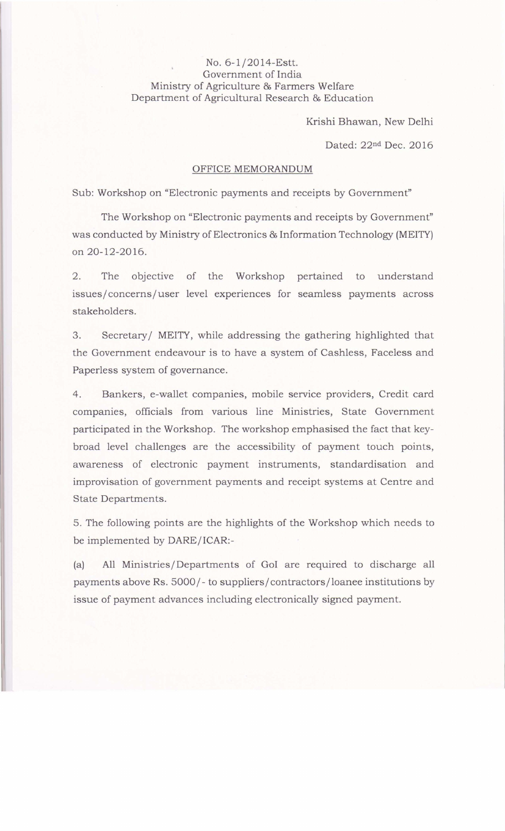## No.6-1/2014-Estt. Government of India Ministry of Agriculture & Farmers Welfare Department of Agricultural Research & Education

Krishi Bhawan, New Delhi

Dated: 22nd Dec. 2016

## OFFICE MEMORANDUM

Sub: Workshop on "Electronic payments and receipts by Government"

The Workshop on "Electronic payments and receipts by Government" was conducted by Ministry of Electronics & Information Technology (MEITY) on 20-12-2016.

2. The objective of the Workshop pertained to understand issues/ concerns/user level experiences for seamless payments across stakeholders.

3. Secretary/ MEITY, while addressing the gathering highlighted that the Government endeavour is to have a system of Cashless, Faceless and Paperless system of governance.

4. Bankers, e-wallet companies, mobile service providers, Credit card companies, officials from various line Ministries, State Government participated in the Workshop. The workshop emphasised the fact that keybroad level challenges are the accessibility of payment touch points, awareness of electronic payment instruments, standardisation and improvisation of government payments and receipt systems at Centre and State Departments.

5. The following points are the highlights of the Workshop which needs to be implemented by DARE/ICAR:-

(a) All Ministries/Departments of GoI are required to discharge all payments above Rs. 5000/- to suppliers/ contractors/loanee institutions by issue of payment advances including electronically signed payment.